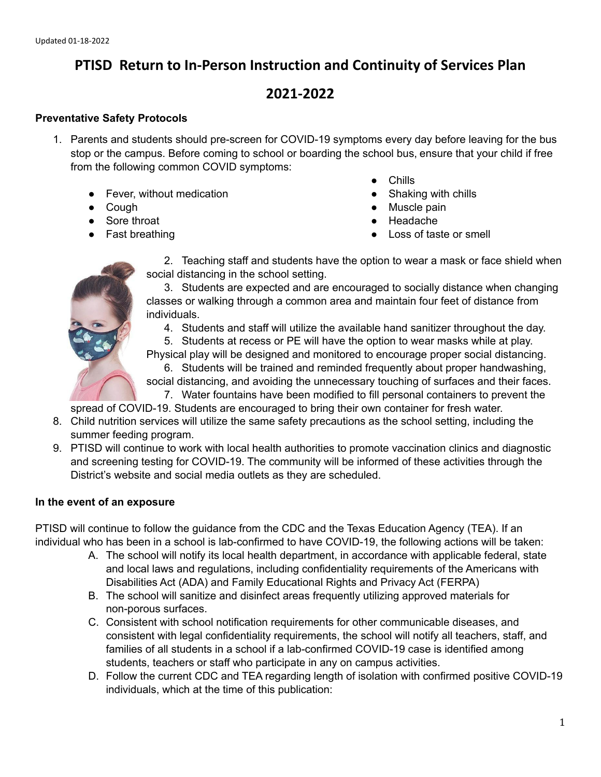## **PTISD Return to In-Person Instruction and Continuity of Services Plan**

# **2021-2022**

#### **Preventative Safety Protocols**

- 1. Parents and students should pre-screen for COVID-19 symptoms every day before leaving for the bus stop or the campus. Before coming to school or boarding the school bus, ensure that your child if free from the following common COVID symptoms:
	- Fever, without medication
	- Cough
	- Sore throat
	- Fast breathing
- Chills
- Shaking with chills
- Muscle pain
- Headache
- Loss of taste or smell



2. Teaching staff and students have the option to wear a mask or face shield when social distancing in the school setting.

3. Students are expected and are encouraged to socially distance when changing classes or walking through a common area and maintain four feet of distance from individuals.

4. Students and staff will utilize the available hand sanitizer throughout the day.

5. Students at recess or PE will have the option to wear masks while at play.

Physical play will be designed and monitored to encourage proper social distancing. 6. Students will be trained and reminded frequently about proper handwashing,

social distancing, and avoiding the unnecessary touching of surfaces and their faces. 7. Water fountains have been modified to fill personal containers to prevent the

spread of COVID-19. Students are encouraged to bring their own container for fresh water.

- 8. Child nutrition services will utilize the same safety precautions as the school setting, including the summer feeding program.
- 9. PTISD will continue to work with local health authorities to promote vaccination clinics and diagnostic and screening testing for COVID-19. The community will be informed of these activities through the District's website and social media outlets as they are scheduled.

#### **In the event of an exposure**

PTISD will continue to follow the guidance from the CDC and the Texas Education Agency (TEA). If an individual who has been in a school is lab-confirmed to have COVID-19, the following actions will be taken:

- A. The school will notify its local health department, in accordance with applicable federal, state and local laws and regulations, including confidentiality requirements of the Americans with Disabilities Act (ADA) and Family Educational Rights and Privacy Act (FERPA)
- B. The school will sanitize and disinfect areas frequently utilizing approved materials for non-porous surfaces.
- C. Consistent with school notification requirements for other communicable diseases, and consistent with legal confidentiality requirements, the school will notify all teachers, staff, and families of all students in a school if a lab-confirmed COVID-19 case is identified among students, teachers or staff who participate in any on campus activities.
- D. Follow the current CDC and TEA regarding length of isolation with confirmed positive COVID-19 individuals, which at the time of this publication: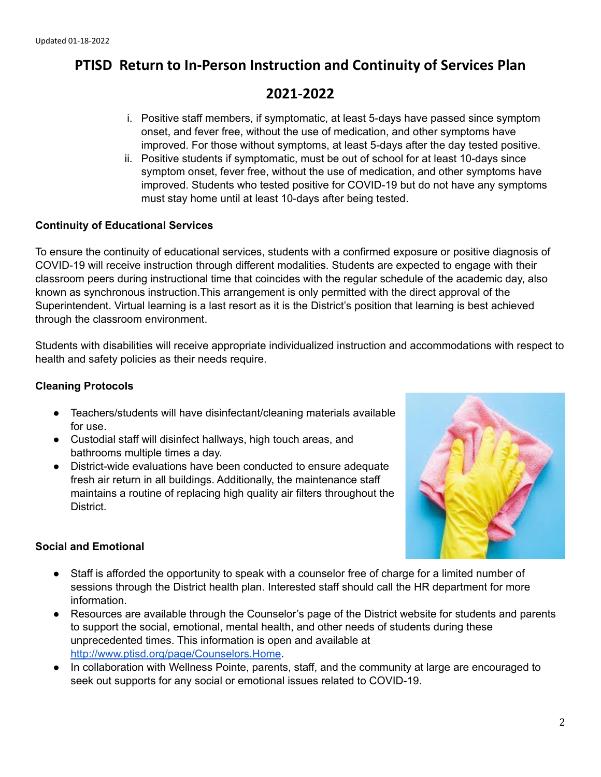## **PTISD Return to In-Person Instruction and Continuity of Services Plan**

### **2021-2022**

- i. Positive staff members, if symptomatic, at least 5-days have passed since symptom onset, and fever free, without the use of medication, and other symptoms have improved. For those without symptoms, at least 5-days after the day tested positive.
- ii. Positive students if symptomatic, must be out of school for at least 10-days since symptom onset, fever free, without the use of medication, and other symptoms have improved. Students who tested positive for COVID-19 but do not have any symptoms must stay home until at least 10-days after being tested.

#### **Continuity of Educational Services**

To ensure the continuity of educational services, students with a confirmed exposure or positive diagnosis of COVID-19 will receive instruction through different modalities. Students are expected to engage with their classroom peers during instructional time that coincides with the regular schedule of the academic day, also known as synchronous instruction.This arrangement is only permitted with the direct approval of the Superintendent. Virtual learning is a last resort as it is the District's position that learning is best achieved through the classroom environment.

Students with disabilities will receive appropriate individualized instruction and accommodations with respect to health and safety policies as their needs require.

#### **Cleaning Protocols**

- Teachers/students will have disinfectant/cleaning materials available for use.
- Custodial staff will disinfect hallways, high touch areas, and bathrooms multiple times a day.
- District-wide evaluations have been conducted to ensure adequate fresh air return in all buildings. Additionally, the maintenance staff maintains a routine of replacing high quality air filters throughout the District.



#### **Social and Emotional**

- Staff is afforded the opportunity to speak with a counselor free of charge for a limited number of sessions through the District health plan. Interested staff should call the HR department for more information.
- Resources are available through the Counselor's page of the District website for students and parents to support the social, emotional, mental health, and other needs of students during these unprecedented times. This information is open and available at <http://www.ptisd.org/page/Counselors.Home>.
- In collaboration with Wellness Pointe, parents, staff, and the community at large are encouraged to seek out supports for any social or emotional issues related to COVID-19.